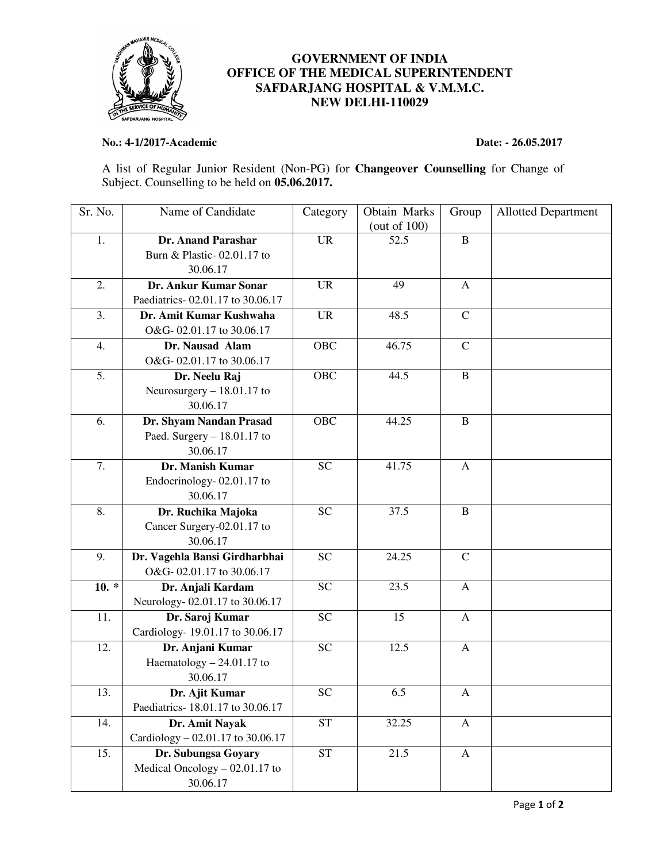

## **GOVERNMENT OF INDIA OFFICE OF THE MEDICAL SUPERINTENDENT SAFDARJANG HOSPITAL & V.M.M.C. NEW DELHI-110029**

## **No.: 4-1/2017-Academic Date: - 26.05.2017**

A list of Regular Junior Resident (Non-PG) for **Changeover Counselling** for Change of Subject. Counselling to be held on **05.06.2017.** 

| Sr. No. | Name of Candidate                 | Category        | Obtain Marks<br>(out of $100$ ) | Group         | <b>Allotted Department</b> |
|---------|-----------------------------------|-----------------|---------------------------------|---------------|----------------------------|
| 1.      | Dr. Anand Parashar                | <b>UR</b>       | 52.5                            | $\, {\bf B}$  |                            |
|         | Burn & Plastic-02.01.17 to        |                 |                                 |               |                            |
|         | 30.06.17                          |                 |                                 |               |                            |
| 2.      | Dr. Ankur Kumar Sonar             | <b>UR</b>       | 49                              | $\mathsf{A}$  |                            |
|         | Paediatrics-02.01.17 to 30.06.17  |                 |                                 |               |                            |
| 3.      | Dr. Amit Kumar Kushwaha           | <b>UR</b>       | 48.5                            | $\mathcal{C}$ |                            |
|         | O&G-02.01.17 to 30.06.17          |                 |                                 |               |                            |
| 4.      | Dr. Nausad Alam                   | <b>OBC</b>      | 46.75                           | $\mathbf C$   |                            |
|         | O&G-02.01.17 to 30.06.17          |                 |                                 |               |                            |
| 5.      | Dr. Neelu Raj                     | OBC             | 44.5                            | $\bf{B}$      |                            |
|         | Neurosurgery $-18.01.17$ to       |                 |                                 |               |                            |
|         | 30.06.17                          |                 |                                 |               |                            |
| 6.      | Dr. Shyam Nandan Prasad           | OBC             | 44.25                           | $\, {\bf B}$  |                            |
|         | Paed. Surgery $-18.01.17$ to      |                 |                                 |               |                            |
|         | 30.06.17                          |                 |                                 |               |                            |
| 7.      | Dr. Manish Kumar                  | <b>SC</b>       | 41.75                           | $\mathbf{A}$  |                            |
|         | Endocrinology-02.01.17 to         |                 |                                 |               |                            |
|         | 30.06.17                          |                 |                                 |               |                            |
| 8.      | Dr. Ruchika Majoka                | <b>SC</b>       | 37.5                            | $\, {\bf B}$  |                            |
|         | Cancer Surgery-02.01.17 to        |                 |                                 |               |                            |
|         | 30.06.17                          |                 |                                 |               |                            |
| 9.      | Dr. Vagehla Bansi Girdharbhai     | <b>SC</b>       | 24.25                           | $\mathbf C$   |                            |
|         | O&G-02.01.17 to 30.06.17          |                 |                                 |               |                            |
| $10. *$ | Dr. Anjali Kardam                 | <b>SC</b>       | 23.5                            | A             |                            |
|         | Neurology-02.01.17 to 30.06.17    |                 |                                 |               |                            |
| 11.     | Dr. Saroj Kumar                   | <b>SC</b>       | 15                              | $\mathbf{A}$  |                            |
|         | Cardiology-19.01.17 to 30.06.17   |                 |                                 |               |                            |
| 12.     | Dr. Anjani Kumar                  | <b>SC</b>       | 12.5                            | A             |                            |
|         | Haematology $-24.01.17$ to        |                 |                                 |               |                            |
|         | 30.06.17                          |                 |                                 |               |                            |
| 13.     | Dr. Ajit Kumar                    | $\overline{SC}$ | 6.5                             | A             |                            |
|         | Paediatrics-18.01.17 to 30.06.17  |                 |                                 |               |                            |
| 14.     | Dr. Amit Nayak                    | <b>ST</b>       | 32.25                           | $\mathbf{A}$  |                            |
|         | Cardiology – 02.01.17 to 30.06.17 |                 |                                 |               |                            |
| 15.     | Dr. Subungsa Goyary               | <b>ST</b>       | 21.5                            | A             |                            |
|         | Medical Oncology $-02.01.17$ to   |                 |                                 |               |                            |
|         | 30.06.17                          |                 |                                 |               |                            |